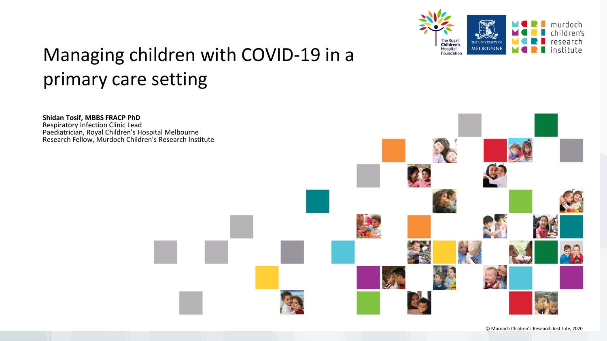

# Managing children with COVID-19 in a primary care setting

**Shidan Tosif, MBBS FRACP PhD** Respiratory Infection Clinic Lead Paediatrician, Royal Children's Hospital Melbourne Research Fellow, Murdoch Children's Research Institute

© Murdoch Children's Research Institute, 2020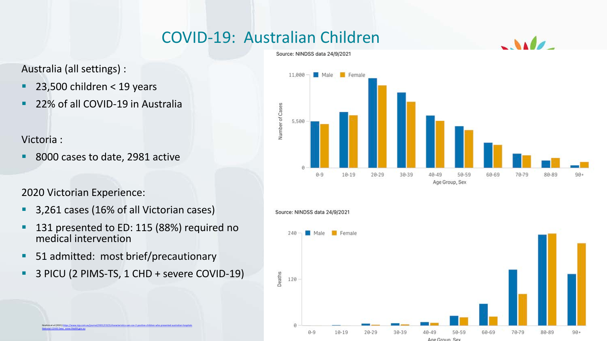## COVID-19: Australian Children

Australia (all settings) :

- $\blacksquare$  23,500 children < 19 years
- **22% of all COVID-19 in Australia**

### Victoria :

him et al (2021) http [National COVID Data: www.Health.gov.au](http://www.health.gov.au/)

8000 cases to date, 2981 active

### 2020 Victorian Experience:

- **3,261 cases (16% of all Victorian cases)**
- <sup>1</sup> 131 presented to ED: 115 (88%) required no medical intervention
- 51 admitted: most brief/precautionary
- **3 PICU (2 PIMS-TS, 1 CHD + severe COVID-19)**





Source: NINDSS data 24/9/2021



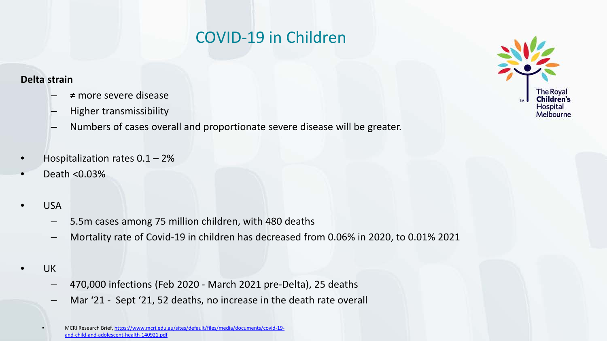## COVID-19 in Children

#### **Delta strain**

- $\neq$  more severe disease
- Higher transmissibility
- Numbers of cases overall and proportionate severe disease will be greater.
- Hospitalization rates  $0.1 2%$
- Death <0.03%
- USA
	- 5.5m cases among 75 million children, with 480 deaths
	- Mortality rate of Covid-19 in children has decreased from 0.06% in 2020, to 0.01% 2021
- UK
	- 470,000 infections (Feb 2020 March 2021 pre-Delta), 25 deaths
	- Mar '21 Sept '21, 52 deaths, no increase in the death rate overall



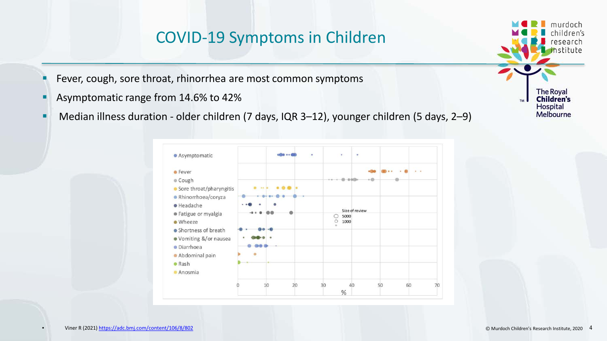### COVID-19 Symptoms in Children

- **F** Fever, cough, sore throat, rhinorrhea are most common symptoms
- **Asymptomatic range from 14.6% to 42%**
- Median illness duration older children (7 days, IQR 3–12), younger children (5 days, 2–9)



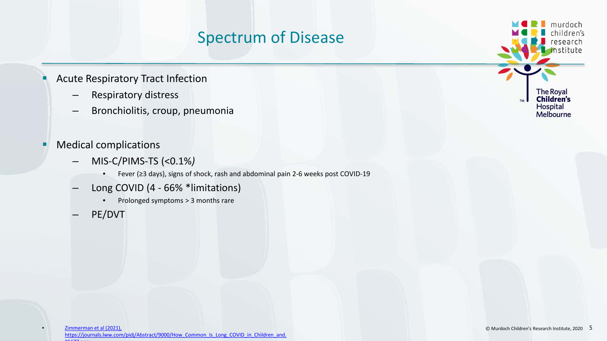## Spectrum of Disease

- **Acute Respiratory Tract Infection** 
	- Respiratory distress
	- Bronchiolitis, croup, pneumonia
- **Medical complications** 
	- MIS-C/PIMS-TS (<0.1%*)*
		- Fever (≥3 days), signs of shock, rash and abdominal pain 2-6 weeks post COVID-19
	- Long COVID (4 66% \*limitations)
		- Prolonged symptoms > 3 months rare
	- PE/DVT

murdoch children's research hstitute **The Royal Children's** Hospital Melbourne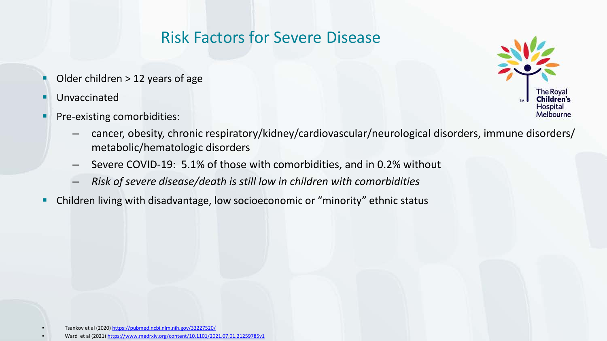## Risk Factors for Severe Disease

- Older children > 12 years of age
- **Unvaccinated**
- **Pre-existing comorbidities:**



- cancer, obesity, chronic respiratory/kidney/cardiovascular/neurological disorders, immune disorders/ metabolic/hematologic disorders
- Severe COVID-19: 5.1% of those with comorbidities, and in 0.2% without
- *Risk of severe disease/death is still low in children with comorbidities*
- Children living with disadvantage, low socioeconomic or "minority" ethnic status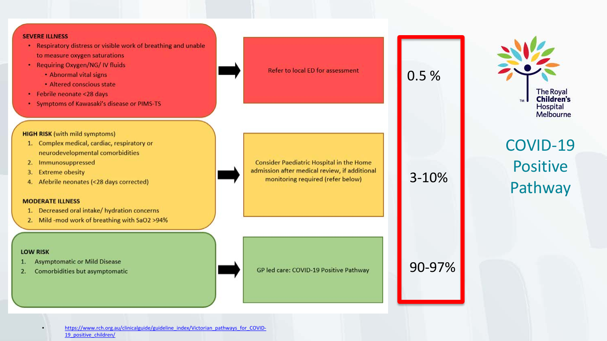#### **SEVERE ILLNESS**

- Respiratory distress or visible work of breathing and unable to measure oxygen saturations
- Requiring Oxygen/NG/IV fluids
	- Abnormal vital signs
	- · Altered conscious state
- · Febrile neonate <28 days
- Symptoms of Kawasaki's disease or PIMS-TS

#### **HIGH RISK (with mild symptoms)**

- 1. Complex medical, cardiac, respiratory or neurodevelopmental comorbidities
- 2. Immunosuppressed
- 3. Extreme obesity
- 4. Afebrile neonates (<28 days corrected)

#### **MODERATE ILLNESS**

- 1. Decreased oral intake/ hydration concerns
- 2. Mild-mod work of breathing with SaO2 >94%

#### **LOW RISK**

- **Asymptomatic or Mild Disease**
- Comorbidities but asymptomatic 2.



[https://www.rch.org.au/clinicalguide/guideline\\_index/Victorian\\_pathways\\_for\\_COVID-](https://www.rch.org.au/clinicalguide/guideline_index/Victorian_pathways_for_COVID-19_positive_children/)19\_positive\_children/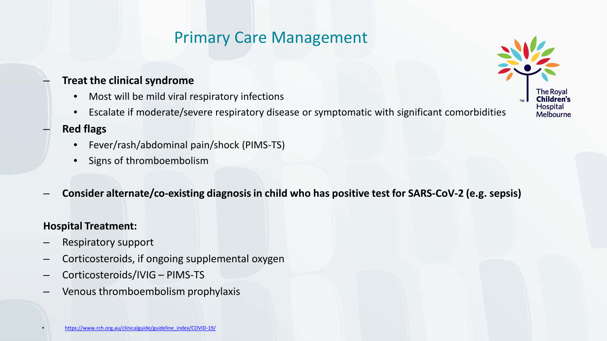## Primary Care Management

### – **Treat the clinical syndrome**

- Most will be mild viral respiratory infections
- Escalate if moderate/severe respiratory disease or symptomatic with significant comorbidities

### – **Red flags**

- Fever/rash/abdominal pain/shock (PIMS-TS)
- Signs of thromboembolism
- **Consider alternate/co-existing diagnosis in child who has positive test for SARS-CoV-2 (e.g. sepsis)**

#### **Hospital Treatment:**

- Respiratory support
- Corticosteroids, if ongoing supplemental oxygen
- Corticosteroids/IVIG PIMS-TS
- Venous thromboembolism prophylaxis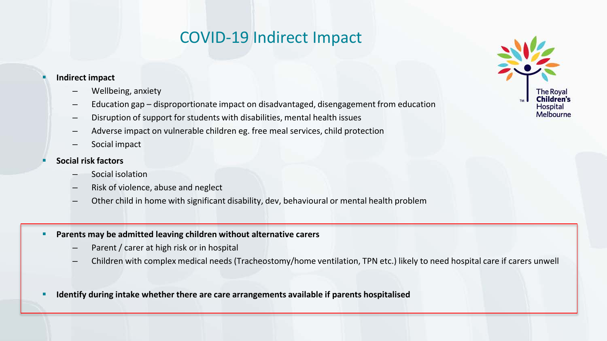## COVID-19 Indirect Impact

#### **Indirect impact**

- Wellbeing, anxiety
- Education gap disproportionate impact on disadvantaged, disengagement from education
- Disruption of support for students with disabilities, mental health issues
- Adverse impact on vulnerable children eg. free meal services, child protection
- Social impact
- **Social risk factors**
	- Social isolation
	- Risk of violence, abuse and neglect
	- Other child in home with significant disability, dev, behavioural or mental health problem
- **Parents may be admitted leaving children without alternative carers**
	- Parent / carer at high risk or in hospital
	- Children with complex medical needs (Tracheostomy/home ventilation, TPN etc.) likely to need hospital care if carers unwell
- **Identify during intake whether there are care arrangements available if parents hospitalised**

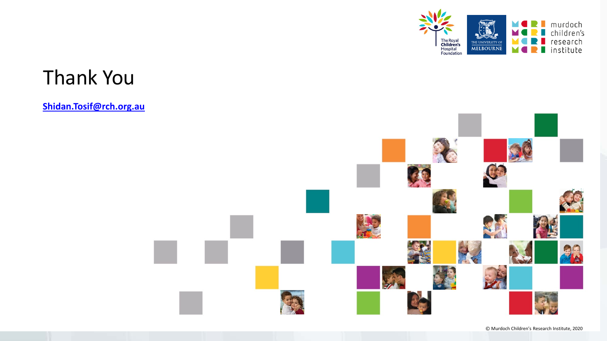

# Thank You

#### **[Shidan.Tosif@rch.org.au](mailto:Shidan.Tosif@rch.org.au)**

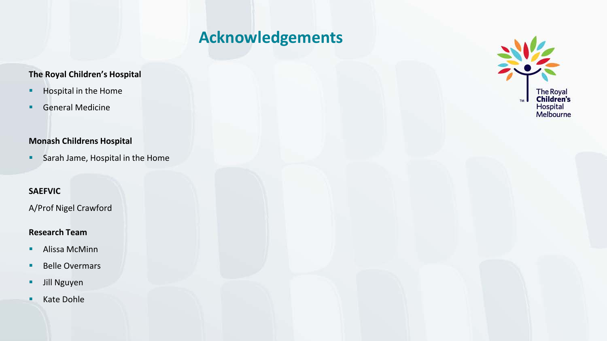## **Acknowledgements**

#### **The Royal Children's Hospital**

- **Hospital in the Home**
- **General Medicine**

#### **Monash Childrens Hospital**

**Sarah Jame, Hospital in the Home** 

#### **SAEFVIC**

A/Prof Nigel Crawford

#### **Research Team**

- **Alissa McMinn**
- **Belle Overmars**
- **Jill Nguyen**
- Kate Dohle